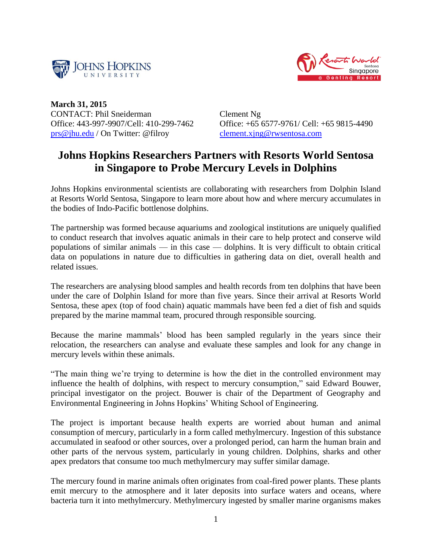



**March 31, 2015** CONTACT: Phil Sneiderman Office: 443-997-9907/Cell: 410-299-7462 [prs@jhu.edu](mailto:prs@jhu.edu) / On Twitter: @filroy

Clement Ng Office: +65 6577-9761/ Cell: +65 9815-4490 [clement.xjng@rwsentosa.com](mailto:clement.xjng@rwsentosa.com)

## **Johns Hopkins Researchers Partners with Resorts World Sentosa in Singapore to Probe Mercury Levels in Dolphins**

Johns Hopkins environmental scientists are collaborating with researchers from Dolphin Island at Resorts World Sentosa, Singapore to learn more about how and where mercury accumulates in the bodies of Indo-Pacific bottlenose dolphins.

The partnership was formed because aquariums and zoological institutions are uniquely qualified to conduct research that involves aquatic animals in their care to help protect and conserve wild populations of similar animals — in this case — dolphins. It is very difficult to obtain critical data on populations in nature due to difficulties in gathering data on diet, overall health and related issues.

The researchers are analysing blood samples and health records from ten dolphins that have been under the care of Dolphin Island for more than five years. Since their arrival at Resorts World Sentosa, these apex (top of food chain) aquatic mammals have been fed a diet of fish and squids prepared by the marine mammal team, procured through responsible sourcing.

Because the marine mammals' blood has been sampled regularly in the years since their relocation, the researchers can analyse and evaluate these samples and look for any change in mercury levels within these animals.

"The main thing we're trying to determine is how the diet in the controlled environment may influence the health of dolphins, with respect to mercury consumption," said Edward Bouwer, principal investigator on the project. Bouwer is chair of the Department of Geography and Environmental Engineering in Johns Hopkins' Whiting School of Engineering.

The project is important because health experts are worried about human and animal consumption of mercury, particularly in a form called methylmercury. Ingestion of this substance accumulated in seafood or other sources, over a prolonged period, can harm the human brain and other parts of the nervous system, particularly in young children. Dolphins, sharks and other apex predators that consume too much methylmercury may suffer similar damage.

The mercury found in marine animals often originates from coal-fired power plants. These plants emit mercury to the atmosphere and it later deposits into surface waters and oceans, where bacteria turn it into methylmercury. Methylmercury ingested by smaller marine organisms makes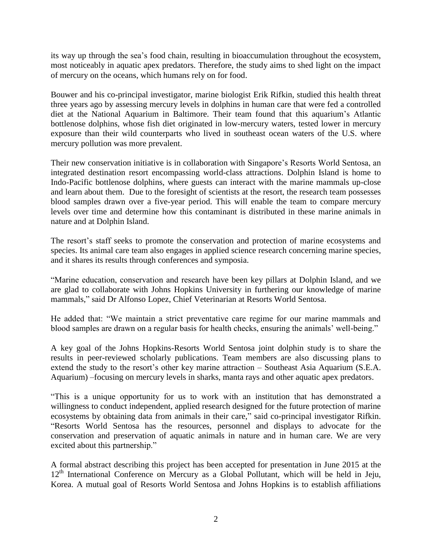its way up through the sea's food chain, resulting in bioaccumulation throughout the ecosystem, most noticeably in aquatic apex predators. Therefore, the study aims to shed light on the impact of mercury on the oceans, which humans rely on for food.

Bouwer and his co-principal investigator, marine biologist Erik Rifkin, studied this health threat three years ago by assessing mercury levels in dolphins in human care that were fed a controlled diet at the National Aquarium in Baltimore. Their team found that this aquarium's Atlantic bottlenose dolphins, whose fish diet originated in low-mercury waters, tested lower in mercury exposure than their wild counterparts who lived in southeast ocean waters of the U.S. where mercury pollution was more prevalent.

Their new conservation initiative is in collaboration with Singapore's Resorts World Sentosa, an integrated destination resort encompassing world-class attractions. Dolphin Island is home to Indo-Pacific bottlenose dolphins, where guests can interact with the marine mammals up-close and learn about them. Due to the foresight of scientists at the resort, the research team possesses blood samples drawn over a five-year period. This will enable the team to compare mercury levels over time and determine how this contaminant is distributed in these marine animals in nature and at Dolphin Island.

The resort's staff seeks to promote the conservation and protection of marine ecosystems and species. Its animal care team also engages in applied science research concerning marine species, and it shares its results through conferences and symposia.

"Marine education, conservation and research have been key pillars at Dolphin Island, and we are glad to collaborate with Johns Hopkins University in furthering our knowledge of marine mammals," said Dr Alfonso Lopez, Chief Veterinarian at Resorts World Sentosa.

He added that: "We maintain a strict preventative care regime for our marine mammals and blood samples are drawn on a regular basis for health checks, ensuring the animals' well-being."

A key goal of the Johns Hopkins-Resorts World Sentosa joint dolphin study is to share the results in peer-reviewed scholarly publications. Team members are also discussing plans to extend the study to the resort's other key marine attraction – Southeast Asia Aquarium (S.E.A. Aquarium) –focusing on mercury levels in sharks, manta rays and other aquatic apex predators.

"This is a unique opportunity for us to work with an institution that has demonstrated a willingness to conduct independent, applied research designed for the future protection of marine ecosystems by obtaining data from animals in their care," said co-principal investigator Rifkin. "Resorts World Sentosa has the resources, personnel and displays to advocate for the conservation and preservation of aquatic animals in nature and in human care. We are very excited about this partnership."

A formal abstract describing this project has been accepted for presentation in June 2015 at the  $12<sup>th</sup>$  International Conference on Mercury as a Global Pollutant, which will be held in Jeju, Korea. A mutual goal of Resorts World Sentosa and Johns Hopkins is to establish affiliations